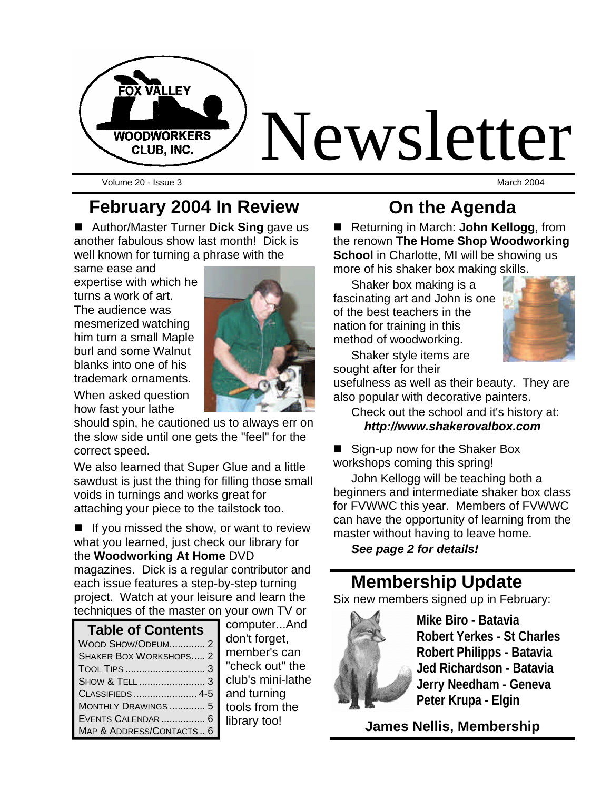

Volume 20 - Issue 3 March 2004

### **February 2004 In Review**

■ Author/Master Turner **Dick Sing** gave us another fabulous show last month! Dick is well known for turning a phrase with the

same ease and expertise with which he turns a work of art. The audience was mesmerized watching him turn a small Maple burl and some Walnut blanks into one of his trademark ornaments.

When asked question how fast your lathe

should spin, he cautioned us to always err on the slow side until one gets the "feel" for the correct speed.

We also learned that Super Glue and a little sawdust is just the thing for filling those small voids in turnings and works great for attaching your piece to the tailstock too.

 $\blacksquare$  If you missed the show, or want to review what you learned, just check our library for the **Woodworking At Home** DVD

magazines. Dick is a regular contributor and each issue features a step-by-step turning project. Watch at your leisure and learn the techniques of the master on your own TV or

| <b>Table of Contents</b>      |
|-------------------------------|
| WOOD SHOW/ODEUM 2             |
| <b>SHAKER BOX WORKSHOPS 2</b> |
|                               |
|                               |
|                               |
| MONTHLY DRAWINGS  5           |
| EVENTS CALENDAR  6            |
| MAP & ADDRESS/CONTACTS 6      |

computer...And don't forget, member's can "check out" the club's mini-lathe and turning tools from the library too!

### **On the Agenda**

■ Returning in March: **John Kellogg**, from the renown **The Home Shop Woodworking School** in Charlotte, MI will be showing us more of his shaker box making skills.

Shaker box making is a fascinating art and John is one of the best teachers in the nation for training in this method of woodworking.



Shaker style items are sought after for their

usefulness as well as their beauty. They are also popular with decorative painters.

Check out the school and it's history at: *http://www.shakerovalbox.com*

■ Sign-up now for the Shaker Box workshops coming this spring!

John Kellogg will be teaching both a beginners and intermediate shaker box class for FVWWC this year. Members of FVWWC can have the opportunity of learning from the master without having to leave home.

*See page 2 for details!*

### **Membership Update**

Six new members signed up in February:



**Mike Biro - Batavia Robert Yerkes - St Charles Robert Philipps - Batavia Jed Richardson - Batavia Jerry Needham - Geneva Peter Krupa - Elgin**

**James Nellis, Membership**

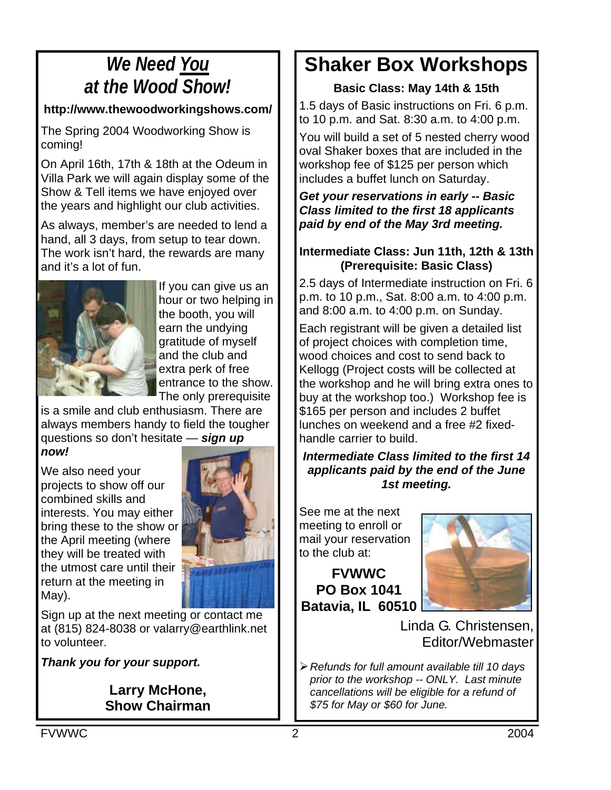### *We Need You at the Wood Show!*

#### **http://www.thewoodworkingshows.com/**

The Spring 2004 Woodworking Show is coming!

On April 16th, 17th & 18th at the Odeum in Villa Park we will again display some of the Show & Tell items we have enjoyed over the years and highlight our club activities.

As always, member's are needed to lend a hand, all 3 days, from setup to tear down. The work isn't hard, the rewards are many and it's a lot of fun.



If you can give us an hour or two helping in the booth, you will earn the undying gratitude of myself and the club and extra perk of free entrance to the show. The only prerequisite

is a smile and club enthusiasm. There are always members handy to field the tougher questions so don't hesitate — *sign up now!*

We also need your projects to show off our combined skills and interests. You may either bring these to the show or the April meeting (where they will be treated with the utmost care until their return at the meeting in May).



Sign up at the next meeting or contact me at (815) 824-8038 or valarry@earthlink.net to volunteer.

*Thank you for your support.*

#### **Larry McHone, Show Chairman**

### **Shaker Box Workshops**

#### **Basic Class: May 14th & 15th**

1.5 days of Basic instructions on Fri. 6 p.m. to 10 p.m. and Sat. 8:30 a.m. to 4:00 p.m.

You will build a set of 5 nested cherry wood oval Shaker boxes that are included in the workshop fee of \$125 per person which includes a buffet lunch on Saturday.

#### *Get your reservations in early -- Basic Class limited to the first 18 applicants paid by end of the May 3rd meeting.*

#### **Intermediate Class: Jun 11th, 12th & 13th (Prerequisite: Basic Class)**

2.5 days of Intermediate instruction on Fri. 6 p.m. to 10 p.m., Sat. 8:00 a.m. to 4:00 p.m. and 8:00 a.m. to 4:00 p.m. on Sunday.

Each registrant will be given a detailed list of project choices with completion time, wood choices and cost to send back to Kellogg (Project costs will be collected at the workshop and he will bring extra ones to buy at the workshop too.) Workshop fee is \$165 per person and includes 2 buffet lunches on weekend and a free #2 fixedhandle carrier to build.

*Intermediate Class limited to the first 14 applicants paid by the end of the June 1st meeting.*

See me at the next meeting to enroll or mail your reservation to the club at:

**FVWWC PO Box 1041 Batavia, IL 60510**



Linda G. Christensen, Editor/Webmaster

ÿ*Refunds for full amount available till 10 days prior to the workshop -- ONLY. Last minute cancellations will be eligible for a refund of \$75 for May or \$60 for June.*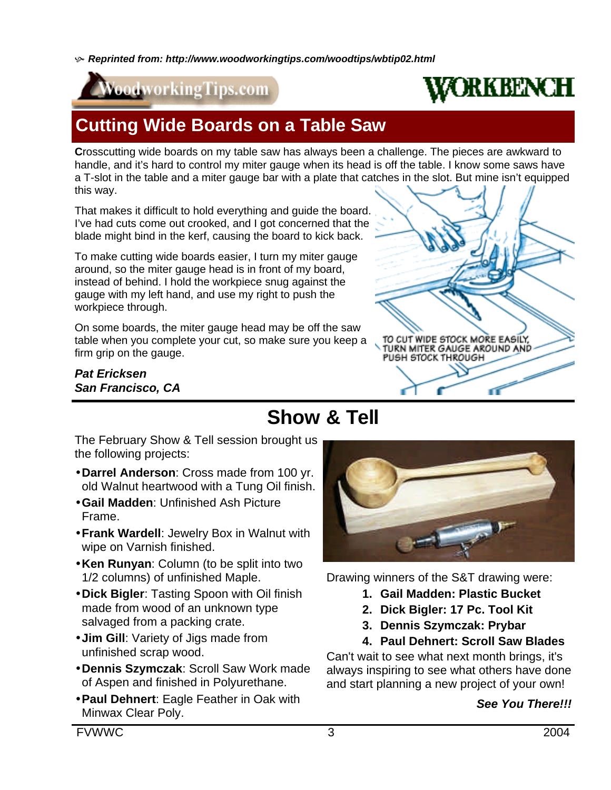h *Reprinted from: http://www.woodworkingtips.com/woodtips/wbtip02.html*





### **Cutting Wide Boards on a Table Saw**

**C**rosscutting wide boards on my table saw has always been a challenge. The pieces are awkward to handle, and it's hard to control my miter gauge when its head is off the table. I know some saws have a T-slot in the table and a miter gauge bar with a plate that catches in the slot. But mine isn't equipped this way.

That makes it difficult to hold everything and guide the board. I've had cuts come out crooked, and I got concerned that the blade might bind in the kerf, causing the board to kick back.

To make cutting wide boards easier, I turn my miter gauge around, so the miter gauge head is in front of my board, instead of behind. I hold the workpiece snug against the gauge with my left hand, and use my right to push the workpiece through.

On some boards, the miter gauge head may be off the saw table when you complete your cut, so make sure you keep a firm grip on the gauge.

#### *Pat Ericksen San Francisco, CA*



### **Show & Tell**

The February Show & Tell session brought us the following projects:

- •**Darrel Anderson**: Cross made from 100 yr. old Walnut heartwood with a Tung Oil finish.
- •**Gail Madden**: Unfinished Ash Picture Frame.
- •**Frank Wardell**: Jewelry Box in Walnut with wipe on Varnish finished.
- •**Ken Runyan**: Column (to be split into two 1/2 columns) of unfinished Maple.
- •**Dick Bigler**: Tasting Spoon with Oil finish made from wood of an unknown type salvaged from a packing crate.
- **Jim Gill**: Variety of Jigs made from unfinished scrap wood.
- •**Dennis Szymczak**: Scroll Saw Work made of Aspen and finished in Polyurethane.
- •**Paul Dehnert**: Eagle Feather in Oak with Minwax Clear Poly.



Drawing winners of the S&T drawing were:

- **1. Gail Madden: Plastic Bucket**
- **2. Dick Bigler: 17 Pc. Tool Kit**
- **3. Dennis Szymczak: Prybar**

### **4. Paul Dehnert: Scroll Saw Blades**

Can't wait to see what next month brings, it's always inspiring to see what others have done and start planning a new project of your own!

#### *See You There!!!*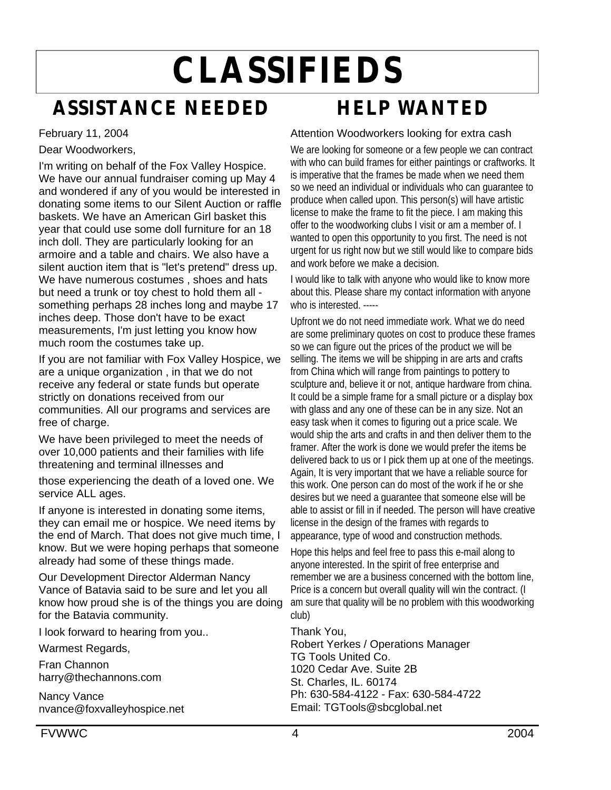# **CLASSIFIEDS**

### **ASSISTANCE NEEDED**

February 11, 2004

Dear Woodworkers,

I'm writing on behalf of the Fox Valley Hospice. We have our annual fundraiser coming up May 4 and wondered if any of you would be interested in donating some items to our Silent Auction or raffle baskets. We have an American Girl basket this year that could use some doll furniture for an 18 inch doll. They are particularly looking for an armoire and a table and chairs. We also have a silent auction item that is "let's pretend" dress up. We have numerous costumes , shoes and hats but need a trunk or toy chest to hold them all something perhaps 28 inches long and maybe 17 inches deep. Those don't have to be exact measurements, I'm just letting you know how much room the costumes take up.

If you are not familiar with Fox Valley Hospice, we are a unique organization , in that we do not receive any federal or state funds but operate strictly on donations received from our communities. All our programs and services are free of charge.

We have been privileged to meet the needs of over 10,000 patients and their families with life threatening and terminal illnesses and

those experiencing the death of a loved one. We service ALL ages.

If anyone is interested in donating some items, they can email me or hospice. We need items by the end of March. That does not give much time, I know. But we were hoping perhaps that someone already had some of these things made.

Our Development Director Alderman Nancy Vance of Batavia said to be sure and let you all know how proud she is of the things you are doing for the Batavia community.

I look forward to hearing from you..

Warmest Regards,

Fran Channon harry@thechannons.com

Nancy Vance nvance@foxvalleyhospice.net

### **HELP WANTED**

#### Attention Woodworkers looking for extra cash

We are looking for someone or a few people we can contract with who can build frames for either paintings or craftworks. It is imperative that the frames be made when we need them so we need an individual or individuals who can guarantee to produce when called upon. This person(s) will have artistic license to make the frame to fit the piece. I am making this offer to the woodworking clubs I visit or am a member of. I wanted to open this opportunity to you first. The need is not urgent for us right now but we still would like to compare bids and work before we make a decision.

I would like to talk with anyone who would like to know more about this. Please share my contact information with anyone who is interested. -----

Upfront we do not need immediate work. What we do need are some preliminary quotes on cost to produce these frames so we can figure out the prices of the product we will be selling. The items we will be shipping in are arts and crafts from China which will range from paintings to pottery to sculpture and, believe it or not, antique hardware from china. It could be a simple frame for a small picture or a display box with glass and any one of these can be in any size. Not an easy task when it comes to figuring out a price scale. We would ship the arts and crafts in and then deliver them to the framer. After the work is done we would prefer the items be delivered back to us or I pick them up at one of the meetings. Again, It is very important that we have a reliable source for this work. One person can do most of the work if he or she desires but we need a guarantee that someone else will be able to assist or fill in if needed. The person will have creative license in the design of the frames with regards to appearance, type of wood and construction methods.

Hope this helps and feel free to pass this e-mail along to anyone interested. In the spirit of free enterprise and remember we are a business concerned with the bottom line, Price is a concern but overall quality will win the contract. (I am sure that quality will be no problem with this woodworking club)

Thank You, Robert Yerkes / Operations Manager TG Tools United Co. 1020 Cedar Ave. Suite 2B St. Charles, IL. 60174 Ph: 630-584-4122 - Fax: 630-584-4722 Email: TGTools@sbcglobal.net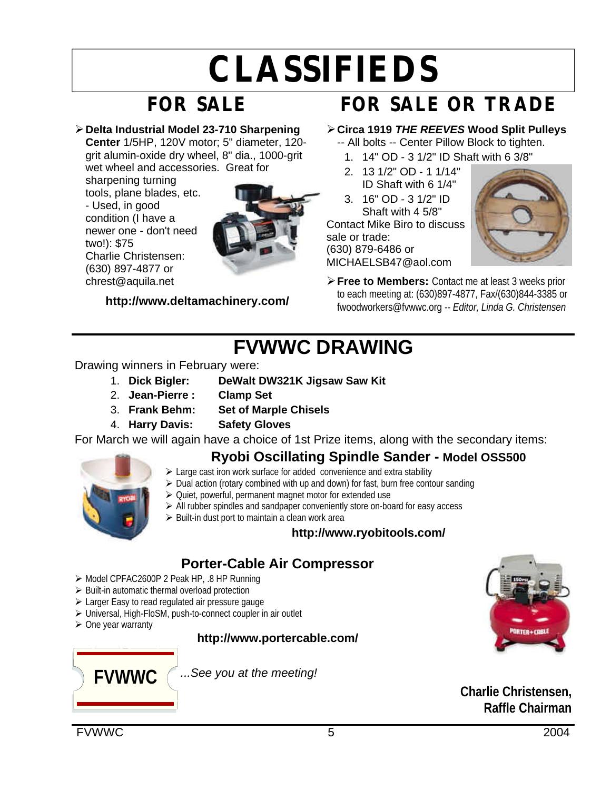## **CLASSIFIEDS**

## **FOR SALE**

ÿ**Delta Industrial Model 23-710 Sharpening** 

**Center** 1/5HP, 120V motor; 5" diameter, 120 grit alumin-oxide dry wheel, 8" dia., 1000-grit wet wheel and accessories. Great for

sharpening turning tools, plane blades, etc. - Used, in good condition (I have a newer one - don't need two!): \$75 Charlie Christensen: (630) 897-4877 or chrest@aquila.net



**http://www.deltamachinery.com/**

### **FOR SALE OR TRADE**

### ÿ**Circa 1919** *THE REEVES* **Wood Split Pulleys**

- -- All bolts -- Center Pillow Block to tighten. 1. 14" OD - 3 1/2" ID Shaft with 6 3/8"
- 2. 13 1/2" OD 1 1/14" ID Shaft with 6 1/4"
- 3. 16" OD 3 1/2" ID Shaft with 4 5/8"
- Contact Mike Biro to discuss

sale or trade: (630) 879-6486 or MICHAELSB47@aol.com



**≻ Free to Members:** Contact me at least 3 weeks prior to each meeting at: (630)897-4877, Fax/(630)844-3385 or fwoodworkers@fvwwc.org *-- Editor, Linda G. Christensen*

### **FVWWC DRAWING**

#### Drawing winners in February were:

- 1. **Dick Bigler: DeWalt DW321K Jigsaw Saw Kit**
- 2. **Jean-Pierre : Clamp Set**
- 3. **Frank Behm: Set of Marple Chisels**
- 4. **Harry Davis: Safety Gloves**

For March we will again have a choice of 1st Prize items, along with the secondary items:

### **Ryobi Oscillating Spindle Sander - Model OSS500**

- - ▶ Large cast iron work surface for added convenience and extra stability
	- $\triangleright$  Dual action (rotary combined with up and down) for fast, burn free contour sanding
	- $\geq$  Quiet, powerful, permanent magnet motor for extended use
	- $\triangleright$  All rubber spindles and sandpaper conveniently store on-board for easy access
	- $\triangleright$  Built-in dust port to maintain a clean work area

### **http://www.ryobitools.com/**

### **Porter-Cable Air Compressor**

- ÿ Model CPFAC2600P 2 Peak HP, .8 HP Running
- $\triangleright$  Built-in automatic thermal overload protection
- $\triangleright$  Larger Easy to read regulated air pressure gauge
- ▶ Universal, High-FloSM, push-to-connect coupler in air outlet
- $\triangleright$  One year warranty

#### **http://www.portercable.com/**



*...See you at the meeting!*

**Charlie Christensen, Raffle Chairman**